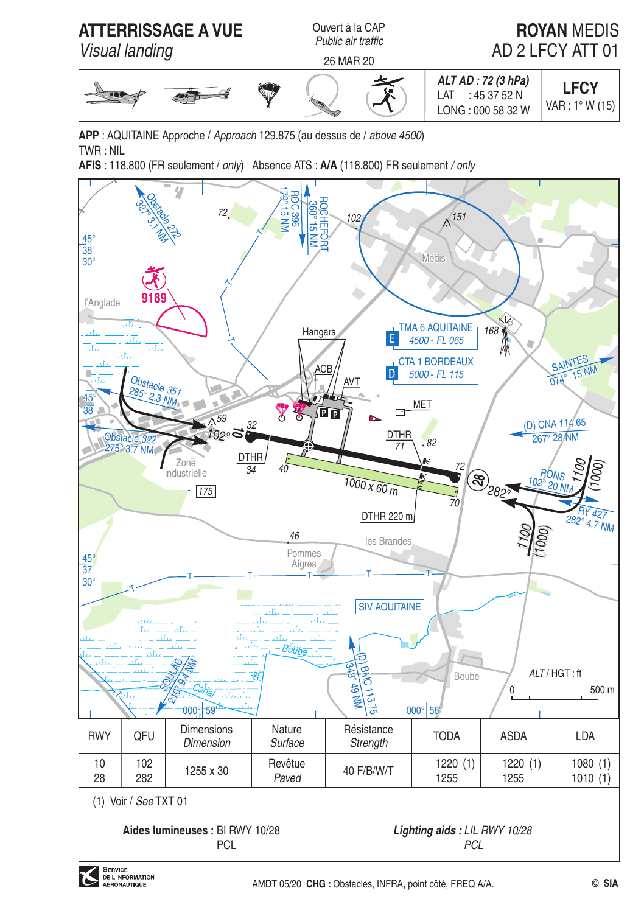

APP: AQUITAINE Approche / Approach 129.875 (au dessus de / above 4500)  $TWR \cdot NII$ 

AFIS: 118.800 (FR seulement / only) Absence ATS: A/A (118.800) FR seulement / only

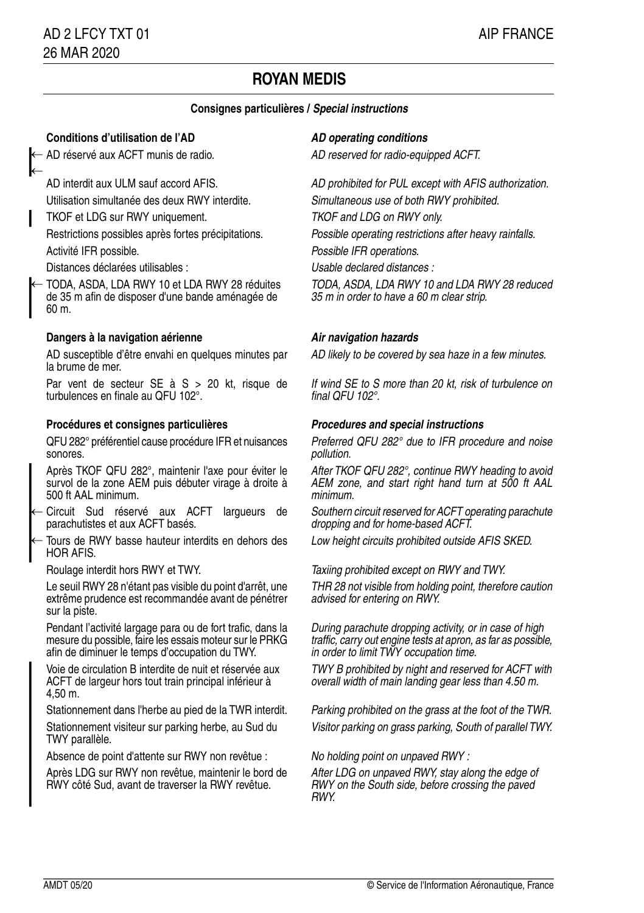# **ROYAN MEDIS**

### **Consignes particulières / Special instructions**

### **Conditions d'utilisation de l'AD AD AD** operating conditions

← AD réservé aux ACFT munis de radio. 
AD reserved for radio-equipped ACFT.

←

TKOF et LDG sur RWY uniquement. TKOF and LDG on RWY only.

Distances déclarées utilisables : Usable declared distances :

TODA, ASDA, LDA RWY 10 et LDA RWY 28 réduites de 35 m afin de disposer d'une bande aménagée de 60 m. ←

### **Dangers à la navigation aérienne Air navigation hazards**

AD susceptible d'être envahi en quelques minutes par AD likely to be covered by sea haze in a few minutes. la brume de mer.

Par vent de secteur SE à S > 20 kt, risque de turbulences en finale au QFU 102°.

### **Procédures et consignes particulières Procedures and special instructions**

QFU 282° préférentiel cause procédure IFR et nuisances sonores.

Après TKOF QFU 282°, maintenir l'axe pour éviter le survol de la zone AEM puis débuter virage à droite à 500 ft AAL minimum.

Circuit Sud réservé aux ACFT largueurs de parachutistes et aux ACFT basés. ←

Tours de RWY basse hauteur interdits en dehors des Low height circuits prohibited outside AFIS SKED. HOR AFIS. ←

Le seuil RWY 28 n'étant pas visible du point d'arrêt, une extrême prudence est recommandée avant de pénétrer sur la piste.

Pendant l'activité largage para ou de fort trafic, dans la mesure du possible, faire les essais moteur sur le PRKG afin de diminuer le temps d'occupation du TWY.

Voie de circulation B interdite de nuit et réservée aux ACFT de largeur hors tout train principal inférieur à 4,50 m.

Stationnement dans l'herbe au pied de la TWR interdit. Parking prohibited on the grass at the foot of the TWR.

TWY parallèle.

Absence de point d'attente sur RWY non revêtue : No holding point on unpaved RWY :

Après LDG sur RWY non revêtue, maintenir le bord de RWY côté Sud, avant de traverser la RWY revêtue.

AD interdit aux ULM sauf accord AFIS. AD prohibited for PUL except with AFIS authorization. Utilisation simultanée des deux RWY interdite. Simultaneous use of both RWY prohibited.

Restrictions possibles après fortes précipitations. Possible operating restrictions after heavy rainfalls.

Activité IFR possible. Activité IFR operations.

TODA, ASDA, LDA RWY 10 and LDA RWY 28 reduced 35 m in order to have a 60 m clear strip.

If wind SE to S more than 20 kt, risk of turbulence on final QFU 102°.

Preferred QFU 282° due to IFR procedure and noise pollution.

After TKOF QFU 282°, continue RWY heading to avoid AEM zone, and start right hand turn at 500 ft AAL minimum.

Southern circuit reserved for ACFT operating parachute dropping and for home-based ACFT.

Roulage interdit hors RWY et TWY. Taxiing prohibited except on RWY and TWY.

THR 28 not visible from holding point, therefore caution advised for entering on RWY.

During parachute dropping activity, or in case of high traffic, carry out engine tests at apron, as far as possible, in order to limit TWY occupation time.

TWY B prohibited by night and reserved for ACFT with overall width of main landing gear less than 4.50 m.

Stationnement visiteur sur parking herbe, au Sud du Visitor parking on grass parking, South of parallel TWY.

After LDG on unpaved RWY, stay along the edge of RWY on the South side, before crossing the paved RWY.